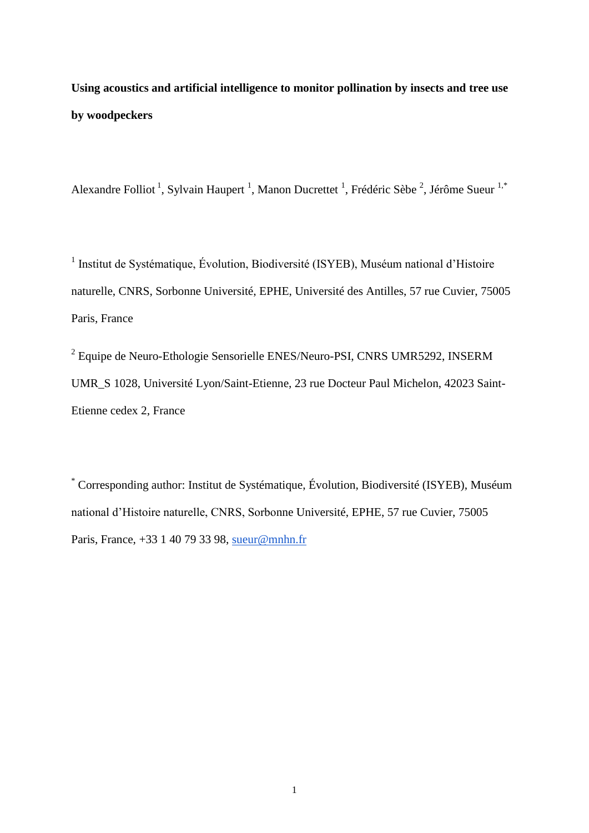**Using acoustics and artificial intelligence to monitor pollination by insects and tree use by woodpeckers**

Alexandre Folliot<sup>1</sup>, Sylvain Haupert<sup>1</sup>, Manon Ducrettet<sup>1</sup>, Frédéric Sèbe<sup>2</sup>, Jérôme Sueur<sup>1,\*</sup>

<sup>1</sup> Institut de Systématique, Évolution, Biodiversité (ISYEB), Muséum national d'Histoire naturelle, CNRS, Sorbonne Université, EPHE, Université des Antilles, 57 rue Cuvier, 75005 Paris, France

<sup>2</sup> Equipe de Neuro-Ethologie Sensorielle ENES/Neuro-PSI, CNRS UMR5292, INSERM UMR\_S 1028, Université Lyon/Saint-Etienne, 23 rue Docteur Paul Michelon, 42023 Saint-Etienne cedex 2, France

\* Corresponding author: Institut de Systématique, Évolution, Biodiversité (ISYEB), Muséum national d'Histoire naturelle, CNRS, Sorbonne Université, EPHE, 57 rue Cuvier, 75005 Paris, France, +33 1 40 79 33 98, [sueur@mnhn.fr](mailto:sueur@mnhn.fr)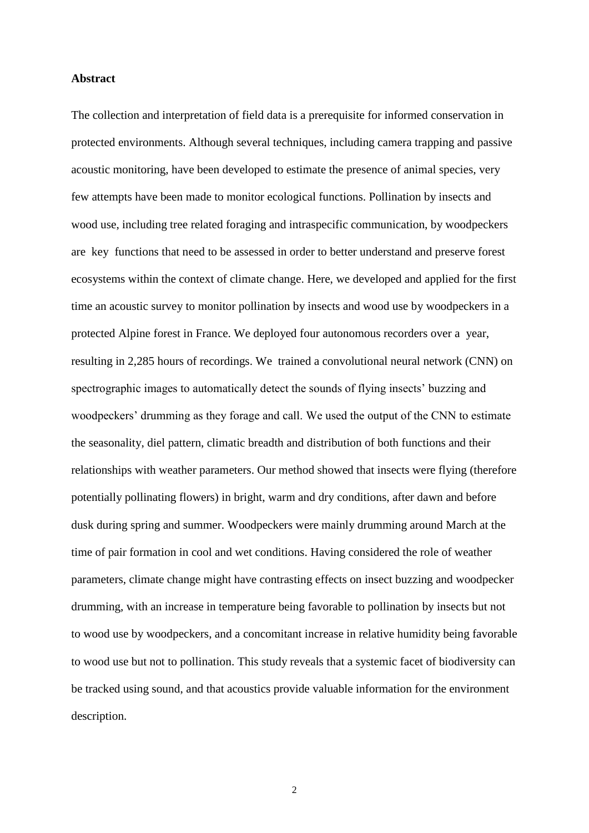## **Abstract**

The collection and interpretation of field data is a prerequisite for informed conservation in protected environments. Although several techniques, including camera trapping and passive acoustic monitoring, have been developed to estimate the presence of animal species, very few attempts have been made to monitor ecological functions. Pollination by insects and wood use, including tree related foraging and intraspecific communication, by woodpeckers are key functions that need to be assessed in order to better understand and preserve forest ecosystems within the context of climate change. Here, we developed and applied for the first time an acoustic survey to monitor pollination by insects and wood use by woodpeckers in a protected Alpine forest in France. We deployed four autonomous recorders over a year, resulting in 2,285 hours of recordings. We trained a convolutional neural network (CNN) on spectrographic images to automatically detect the sounds of flying insects' buzzing and woodpeckers' drumming as they forage and call. We used the output of the CNN to estimate the seasonality, diel pattern, climatic breadth and distribution of both functions and their relationships with weather parameters. Our method showed that insects were flying (therefore potentially pollinating flowers) in bright, warm and dry conditions, after dawn and before dusk during spring and summer. Woodpeckers were mainly drumming around March at the time of pair formation in cool and wet conditions. Having considered the role of weather parameters, climate change might have contrasting effects on insect buzzing and woodpecker drumming, with an increase in temperature being favorable to pollination by insects but not to wood use by woodpeckers, and a concomitant increase in relative humidity being favorable to wood use but not to pollination. This study reveals that a systemic facet of biodiversity can be tracked using sound, and that acoustics provide valuable information for the environment description.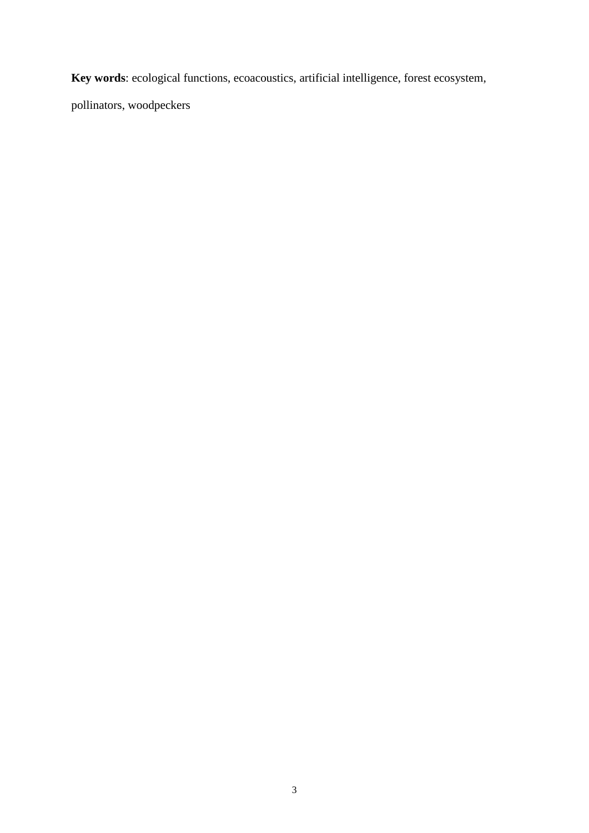**Key words**: ecological functions, ecoacoustics, artificial intelligence, forest ecosystem,

pollinators, woodpeckers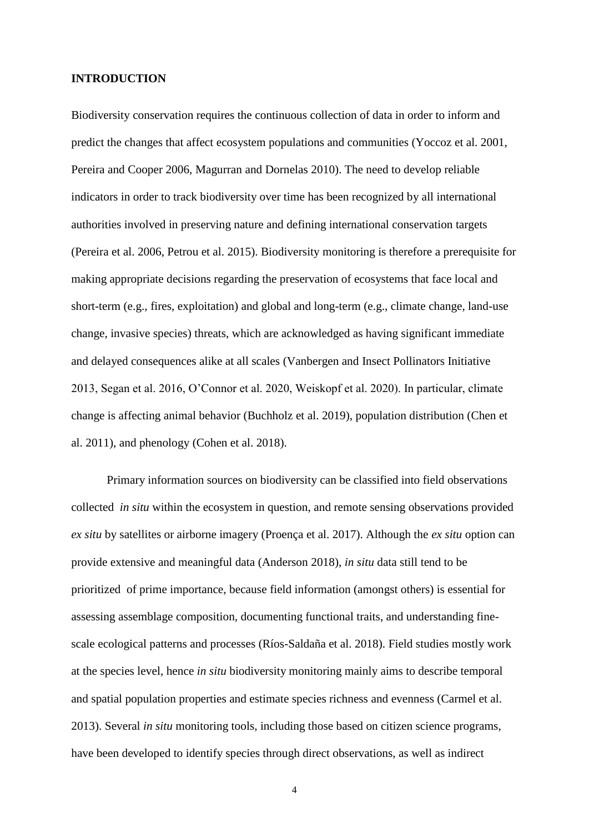#### **INTRODUCTION**

Biodiversity conservation requires the continuous collection of data in order to inform and predict the changes that affect ecosystem populations and communities (Yoccoz et al. 2001, Pereira and Cooper 2006, Magurran and Dornelas 2010). The need to develop reliable indicators in order to track biodiversity over time has been recognized by all international authorities involved in preserving nature and defining international conservation targets (Pereira et al. 2006, Petrou et al. 2015). Biodiversity monitoring is therefore a prerequisite for making appropriate decisions regarding the preservation of ecosystems that face local and short-term (e.g., fires, exploitation) and global and long-term (e.g., climate change, land-use change, invasive species) threats, which are acknowledged as having significant immediate and delayed consequences alike at all scales (Vanbergen and Insect Pollinators Initiative 2013, Segan et al. 2016, O'Connor et al. 2020, Weiskopf et al. 2020). In particular, climate change is affecting animal behavior (Buchholz et al. 2019), population distribution (Chen et al. 2011), and phenology (Cohen et al. 2018).

Primary information sources on biodiversity can be classified into field observations collected *in situ* within the ecosystem in question, and remote sensing observations provided *ex situ* by satellites or airborne imagery (Proença et al. 2017). Although the *ex situ* option can provide extensive and meaningful data (Anderson 2018), *in situ* data still tend to be prioritized of prime importance, because field information (amongst others) is essential for assessing assemblage composition, documenting functional traits, and understanding finescale ecological patterns and processes (Ríos-Saldaña et al. 2018). Field studies mostly work at the species level, hence *in situ* biodiversity monitoring mainly aims to describe temporal and spatial population properties and estimate species richness and evenness (Carmel et al. 2013). Several *in situ* monitoring tools, including those based on citizen science programs, have been developed to identify species through direct observations, as well as indirect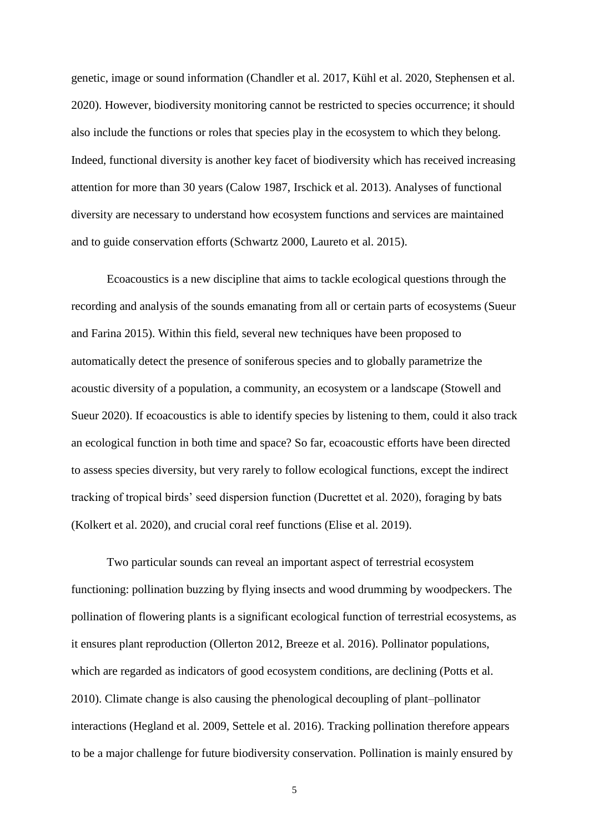genetic, image or sound information (Chandler et al. 2017, Kühl et al. 2020, Stephensen et al. 2020). However, biodiversity monitoring cannot be restricted to species occurrence; it should also include the functions or roles that species play in the ecosystem to which they belong. Indeed, functional diversity is another key facet of biodiversity which has received increasing attention for more than 30 years (Calow 1987, Irschick et al. 2013). Analyses of functional diversity are necessary to understand how ecosystem functions and services are maintained and to guide conservation efforts (Schwartz 2000, Laureto et al. 2015).

Ecoacoustics is a new discipline that aims to tackle ecological questions through the recording and analysis of the sounds emanating from all or certain parts of ecosystems (Sueur and Farina 2015). Within this field, several new techniques have been proposed to automatically detect the presence of soniferous species and to globally parametrize the acoustic diversity of a population, a community, an ecosystem or a landscape (Stowell and Sueur 2020). If ecoacoustics is able to identify species by listening to them, could it also track an ecological function in both time and space? So far, ecoacoustic efforts have been directed to assess species diversity, but very rarely to follow ecological functions, except the indirect tracking of tropical birds' seed dispersion function (Ducrettet et al. 2020), foraging by bats (Kolkert et al. 2020), and crucial coral reef functions (Elise et al. 2019).

Two particular sounds can reveal an important aspect of terrestrial ecosystem functioning: pollination buzzing by flying insects and wood drumming by woodpeckers. The pollination of flowering plants is a significant ecological function of terrestrial ecosystems, as it ensures plant reproduction (Ollerton 2012, Breeze et al. 2016). Pollinator populations, which are regarded as indicators of good ecosystem conditions, are declining (Potts et al. 2010). Climate change is also causing the phenological decoupling of plant–pollinator interactions (Hegland et al. 2009, Settele et al. 2016). Tracking pollination therefore appears to be a major challenge for future biodiversity conservation. Pollination is mainly ensured by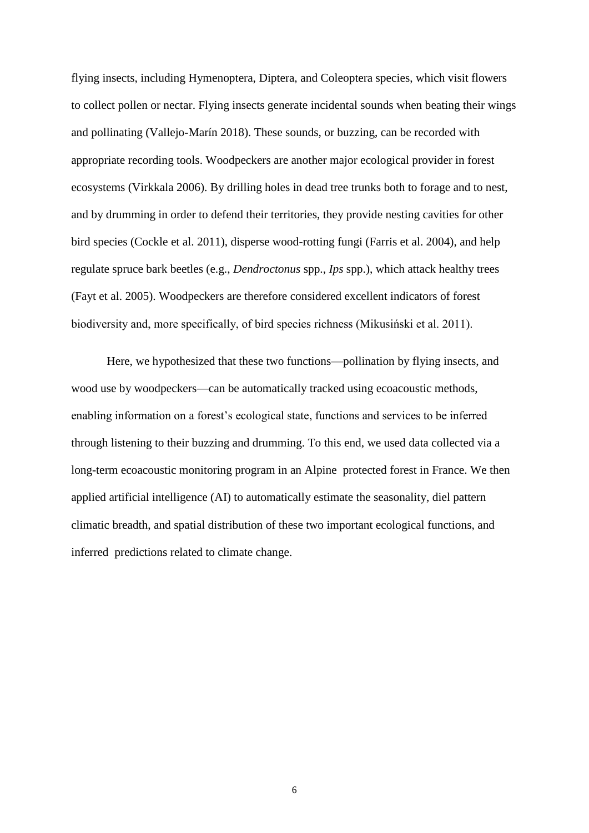flying insects, including Hymenoptera, Diptera, and Coleoptera species, which visit flowers to collect pollen or nectar. Flying insects generate incidental sounds when beating their wings and pollinating (Vallejo-Marín 2018). These sounds, or buzzing, can be recorded with appropriate recording tools. Woodpeckers are another major ecological provider in forest ecosystems (Virkkala 2006). By drilling holes in dead tree trunks both to forage and to nest, and by drumming in order to defend their territories, they provide nesting cavities for other bird species (Cockle et al. 2011), disperse wood-rotting fungi (Farris et al. 2004), and help regulate spruce bark beetles (e.g., *Dendroctonus* spp., *Ips* spp.), which attack healthy trees (Fayt et al. 2005). Woodpeckers are therefore considered excellent indicators of forest biodiversity and, more specifically, of bird species richness (Mikusiński et al. 2011).

Here, we hypothesized that these two functions—pollination by flying insects, and wood use by woodpeckers—can be automatically tracked using ecoacoustic methods, enabling information on a forest's ecological state, functions and services to be inferred through listening to their buzzing and drumming. To this end, we used data collected via a long-term ecoacoustic monitoring program in an Alpine protected forest in France. We then applied artificial intelligence (AI) to automatically estimate the seasonality, diel pattern climatic breadth, and spatial distribution of these two important ecological functions, and inferred predictions related to climate change.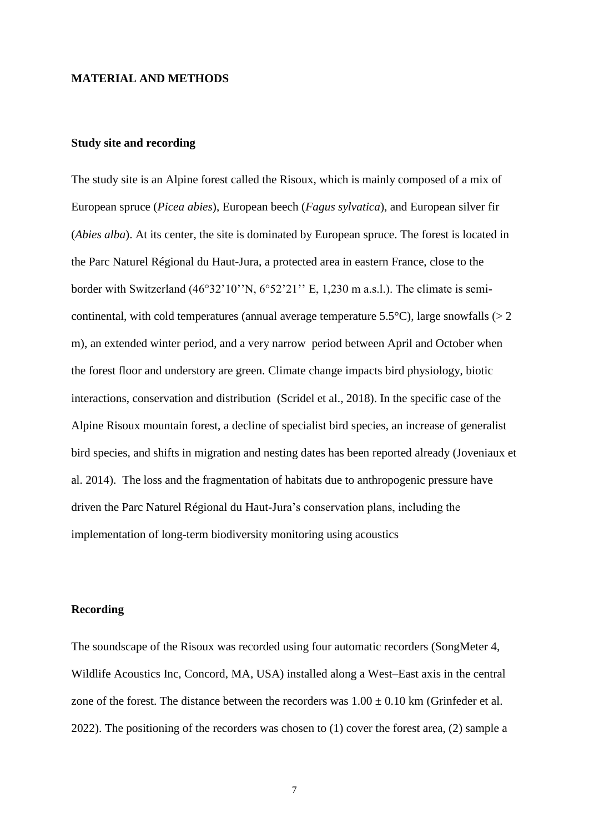#### **MATERIAL AND METHODS**

## **Study site and recording**

The study site is an Alpine forest called the Risoux, which is mainly composed of a mix of European spruce (*Picea abies*), European beech (*Fagus sylvatica*), and European silver fir (*Abies alba*). At its center, the site is dominated by European spruce. The forest is located in the Parc Naturel Régional du Haut-Jura, a protected area in eastern France, close to the border with Switzerland (46°32'10''N, 6°52'21'' E, 1,230 m a.s.l.). The climate is semicontinental, with cold temperatures (annual average temperature 5.5 $^{\circ}$ C), large snowfalls ( $>$  2) m), an extended winter period, and a very narrow period between April and October when the forest floor and understory are green. Climate change impacts bird physiology, biotic interactions, conservation and distribution (Scridel et al., 2018). In the specific case of the Alpine Risoux mountain forest, a decline of specialist bird species, an increase of generalist bird species, and shifts in migration and nesting dates has been reported already (Joveniaux et al. 2014). The loss and the fragmentation of habitats due to anthropogenic pressure have driven the Parc Naturel Régional du Haut-Jura's conservation plans, including the implementation of long-term biodiversity monitoring using acoustics

## **Recording**

The soundscape of the Risoux was recorded using four automatic recorders (SongMeter 4, Wildlife Acoustics Inc, Concord, MA, USA) installed along a West–East axis in the central zone of the forest. The distance between the recorders was  $1.00 \pm 0.10$  km (Grinfeder et al. 2022). The positioning of the recorders was chosen to (1) cover the forest area, (2) sample a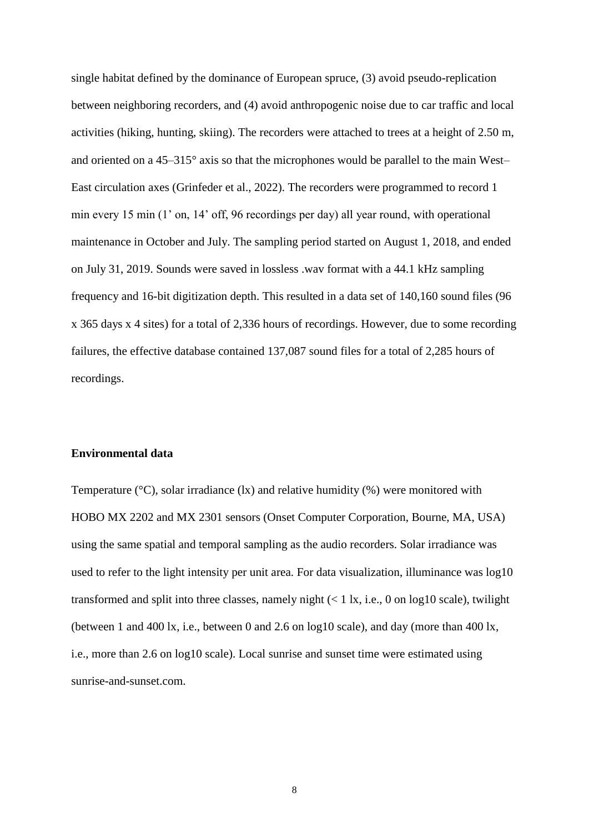single habitat defined by the dominance of European spruce, (3) avoid pseudo-replication between neighboring recorders, and (4) avoid anthropogenic noise due to car traffic and local activities (hiking, hunting, skiing). The recorders were attached to trees at a height of 2.50 m, and oriented on a 45–315° axis so that the microphones would be parallel to the main West– East circulation axes (Grinfeder et al., 2022). The recorders were programmed to record 1 min every 15 min (1' on, 14' off, 96 recordings per day) all year round, with operational maintenance in October and July. The sampling period started on August 1, 2018, and ended on July 31, 2019. Sounds were saved in lossless .wav format with a 44.1 kHz sampling frequency and 16-bit digitization depth. This resulted in a data set of 140,160 sound files (96 x 365 days x 4 sites) for a total of 2,336 hours of recordings. However, due to some recording failures, the effective database contained 137,087 sound files for a total of 2,285 hours of recordings.

# **Environmental data**

Temperature ( $\degree$ C), solar irradiance (lx) and relative humidity (%) were monitored with HOBO MX 2202 and MX 2301 sensors (Onset Computer Corporation, Bourne, MA, USA) using the same spatial and temporal sampling as the audio recorders. Solar irradiance was used to refer to the light intensity per unit area. For data visualization, illuminance was log10 transformed and split into three classes, namely night  $(< 1 \text{ k}$ , i.e., 0 on log10 scale), twilight (between 1 and 400 lx, i.e., between 0 and 2.6 on log10 scale), and day (more than 400 lx, i.e., more than 2.6 on log10 scale). Local sunrise and sunset time were estimated using sunrise-and-sunset.com.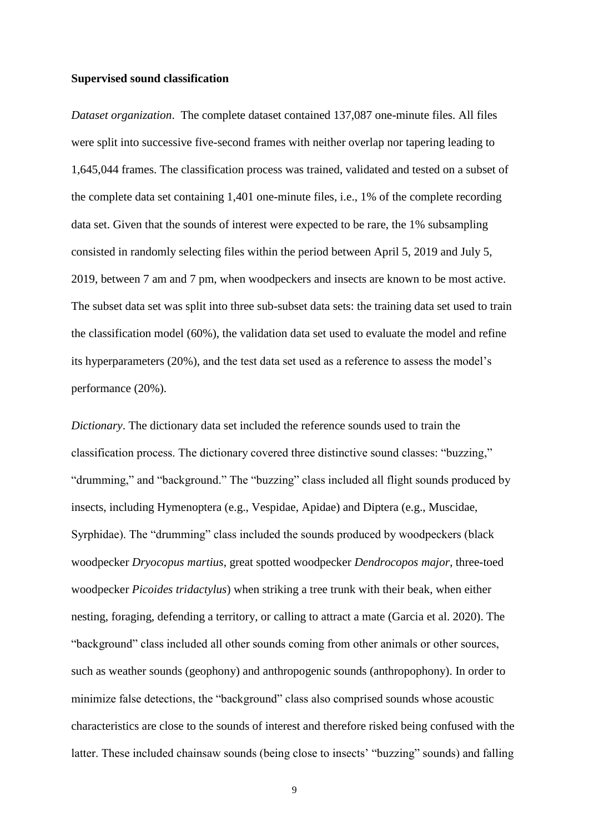#### **Supervised sound classification**

*Dataset organization*. The complete dataset contained 137,087 one-minute files. All files were split into successive five-second frames with neither overlap nor tapering leading to 1,645,044 frames. The classification process was trained, validated and tested on a subset of the complete data set containing 1,401 one-minute files, i.e., 1% of the complete recording data set. Given that the sounds of interest were expected to be rare, the 1% subsampling consisted in randomly selecting files within the period between April 5, 2019 and July 5, 2019, between 7 am and 7 pm, when woodpeckers and insects are known to be most active. The subset data set was split into three sub-subset data sets: the training data set used to train the classification model (60%), the validation data set used to evaluate the model and refine its hyperparameters (20%), and the test data set used as a reference to assess the model's performance (20%).

*Dictionary*. The dictionary data set included the reference sounds used to train the classification process. The dictionary covered three distinctive sound classes: "buzzing," "drumming," and "background." The "buzzing" class included all flight sounds produced by insects, including Hymenoptera (e.g., Vespidae, Apidae) and Diptera (e.g., Muscidae, Syrphidae). The "drumming" class included the sounds produced by woodpeckers (black woodpecker *Dryocopus martius*, great spotted woodpecker *Dendrocopos major*, three-toed woodpecker *Picoides tridactylus*) when striking a tree trunk with their beak, when either nesting, foraging, defending a territory, or calling to attract a mate (Garcia et al. 2020). The "background" class included all other sounds coming from other animals or other sources, such as weather sounds (geophony) and anthropogenic sounds (anthropophony). In order to minimize false detections, the "background" class also comprised sounds whose acoustic characteristics are close to the sounds of interest and therefore risked being confused with the latter. These included chainsaw sounds (being close to insects' "buzzing" sounds) and falling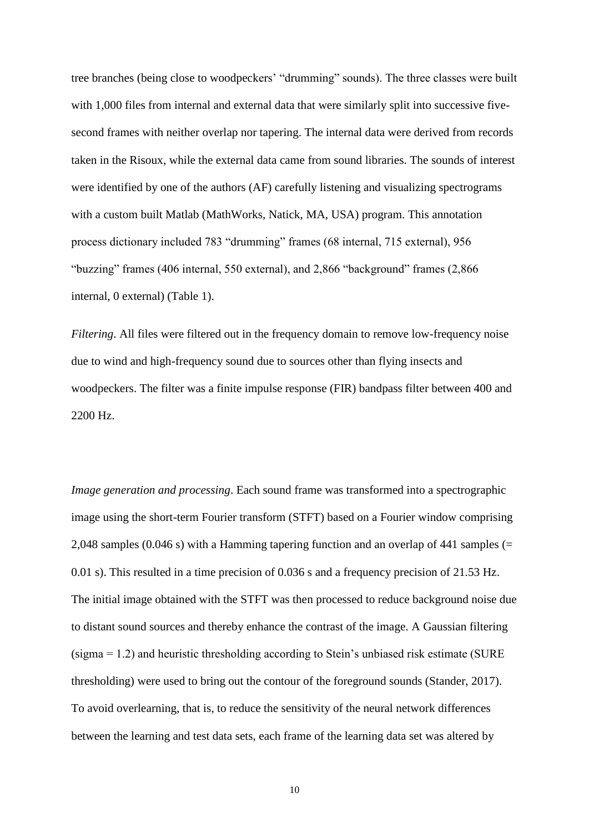tree branches (being close to woodpeckers' "drumming" sounds). The three classes were built with 1,000 files from internal and external data that were similarly split into successive fivesecond frames with neither overlap nor tapering. The internal data were derived from records taken in the Risoux, while the external data came from sound libraries. The sounds of interest were identified by one of the authors (AF) carefully listening and visualizing spectrograms with a custom built Matlab (MathWorks, Natick, MA, USA) program. This annotation process dictionary included 783 "drumming" frames (68 internal, 715 external), 956 "buzzing" frames (406 internal, 550 external), and 2,866 "background" frames (2,866 internal, 0 external) (Table 1).

*Filtering*. All files were filtered out in the frequency domain to remove low-frequency noise due to wind and high-frequency sound due to sources other than flying insects and woodpeckers. The filter was a finite impulse response (FIR) bandpass filter between 400 and 2200 Hz.

*Image generation and processing*. Each sound frame was transformed into a spectrographic image using the short-term Fourier transform (STFT) based on a Fourier window comprising 2,048 samples (0.046 s) with a Hamming tapering function and an overlap of 441 samples (= 0.01 s). This resulted in a time precision of 0.036 s and a frequency precision of 21.53 Hz. The initial image obtained with the STFT was then processed to reduce background noise due to distant sound sources and thereby enhance the contrast of the image. A Gaussian filtering (sigma = 1.2) and heuristic thresholding according to Stein's unbiased risk estimate (SURE thresholding) were used to bring out the contour of the foreground sounds (Stander, 2017). To avoid overlearning, that is, to reduce the sensitivity of the neural network differences between the learning and test data sets, each frame of the learning data set was altered by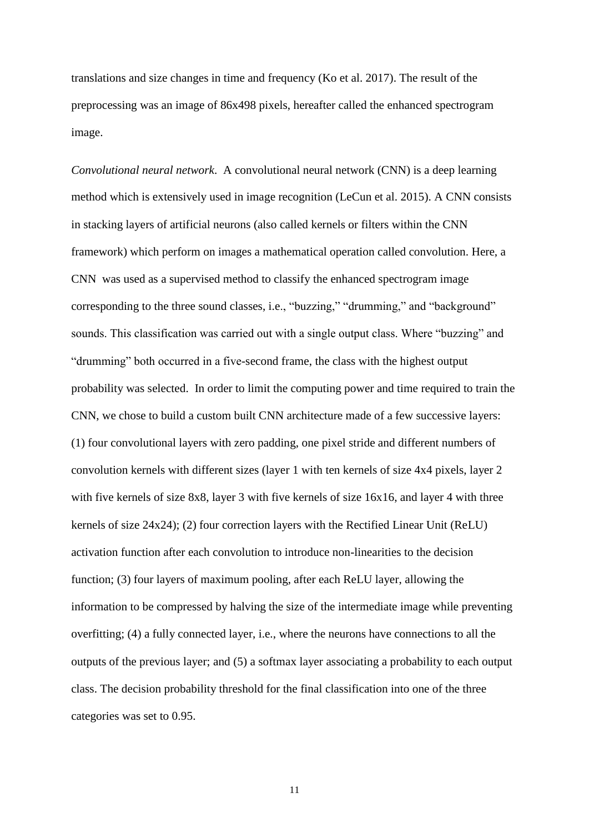translations and size changes in time and frequency (Ko et al. 2017). The result of the preprocessing was an image of 86x498 pixels, hereafter called the enhanced spectrogram image.

*Convolutional neural network*. A convolutional neural network (CNN) is a deep learning method which is extensively used in image recognition (LeCun et al. 2015). A CNN consists in stacking layers of artificial neurons (also called kernels or filters within the CNN framework) which perform on images a mathematical operation called convolution. Here, a CNN was used as a supervised method to classify the enhanced spectrogram image corresponding to the three sound classes, i.e., "buzzing," "drumming," and "background" sounds. This classification was carried out with a single output class. Where "buzzing" and "drumming" both occurred in a five-second frame, the class with the highest output probability was selected. In order to limit the computing power and time required to train the CNN, we chose to build a custom built CNN architecture made of a few successive layers: (1) four convolutional layers with zero padding, one pixel stride and different numbers of convolution kernels with different sizes (layer 1 with ten kernels of size 4x4 pixels, layer 2 with five kernels of size 8x8, layer 3 with five kernels of size 16x16, and layer 4 with three kernels of size 24x24); (2) four correction layers with the Rectified Linear Unit (ReLU) activation function after each convolution to introduce non-linearities to the decision function; (3) four layers of maximum pooling, after each ReLU layer, allowing the information to be compressed by halving the size of the intermediate image while preventing overfitting; (4) a fully connected layer, i.e., where the neurons have connections to all the outputs of the previous layer; and (5) a softmax layer associating a probability to each output class. The decision probability threshold for the final classification into one of the three categories was set to 0.95.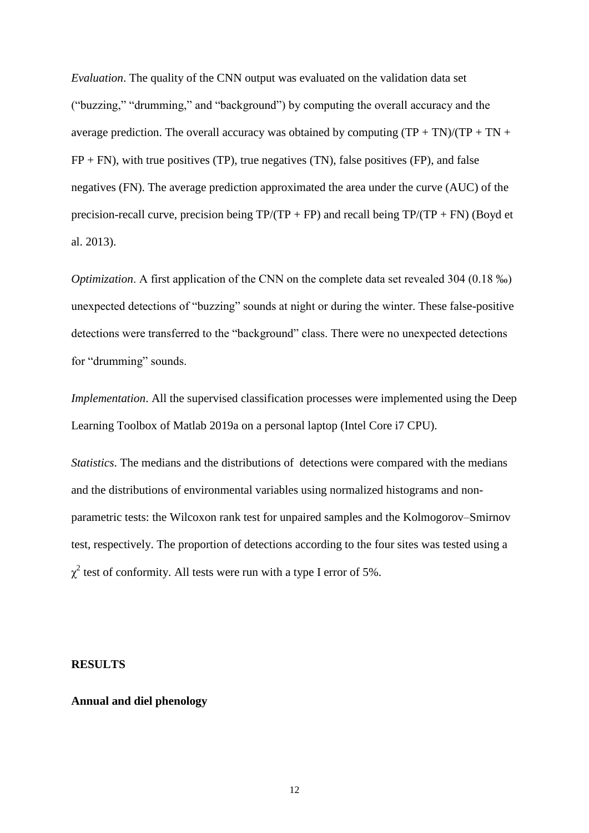*Evaluation*. The quality of the CNN output was evaluated on the validation data set ("buzzing," "drumming," and "background") by computing the overall accuracy and the average prediction. The overall accuracy was obtained by computing  $(TP + TN)/(TP + TN +$  $FP + FN$ , with true positives (TP), true negatives (TN), false positives (FP), and false negatives (FN). The average prediction approximated the area under the curve (AUC) of the precision-recall curve, precision being  $TP/(TP + FP)$  and recall being  $TP/(TP + FN)$  (Boyd et al. 2013).

*Optimization*. A first application of the CNN on the complete data set revealed 304 (0.18 ‰) unexpected detections of "buzzing" sounds at night or during the winter. These false-positive detections were transferred to the "background" class. There were no unexpected detections for "drumming" sounds.

*Implementation*. All the supervised classification processes were implemented using the Deep Learning Toolbox of Matlab 2019a on a personal laptop (Intel Core i7 CPU).

*Statistics*. The medians and the distributions of detections were compared with the medians and the distributions of environmental variables using normalized histograms and nonparametric tests: the Wilcoxon rank test for unpaired samples and the Kolmogorov–Smirnov test, respectively. The proportion of detections according to the four sites was tested using a  $\chi^2$  test of conformity. All tests were run with a type I error of 5%.

#### **RESULTS**

# **Annual and diel phenology**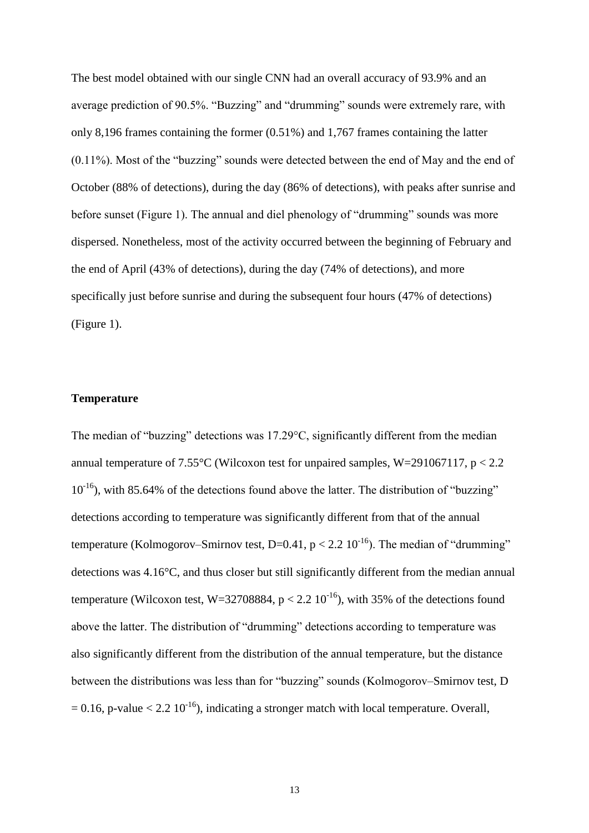The best model obtained with our single CNN had an overall accuracy of 93.9% and an average prediction of 90.5%. "Buzzing" and "drumming" sounds were extremely rare, with only 8,196 frames containing the former (0.51%) and 1,767 frames containing the latter (0.11%). Most of the "buzzing" sounds were detected between the end of May and the end of October (88% of detections), during the day (86% of detections), with peaks after sunrise and before sunset (Figure 1). The annual and diel phenology of "drumming" sounds was more dispersed. Nonetheless, most of the activity occurred between the beginning of February and the end of April (43% of detections), during the day (74% of detections), and more specifically just before sunrise and during the subsequent four hours (47% of detections) (Figure 1).

## **Temperature**

The median of "buzzing" detections was 17.29°C, significantly different from the median annual temperature of  $7.55^{\circ}$ C (Wilcoxon test for unpaired samples, W=291067117, p < 2.2  $10^{-16}$ ), with 85.64% of the detections found above the latter. The distribution of "buzzing" detections according to temperature was significantly different from that of the annual temperature (Kolmogorov–Smirnov test, D=0.41,  $p < 2.2 \times 10^{-16}$ ). The median of "drumming" detections was 4.16°C, and thus closer but still significantly different from the median annual temperature (Wilcoxon test, W=32708884,  $p < 2.2$  10<sup>-16</sup>), with 35% of the detections found above the latter. The distribution of "drumming" detections according to temperature was also significantly different from the distribution of the annual temperature, but the distance between the distributions was less than for "buzzing" sounds (Kolmogorov–Smirnov test, D  $= 0.16$ , p-value  $< 2.2 \times 10^{-16}$ ), indicating a stronger match with local temperature. Overall,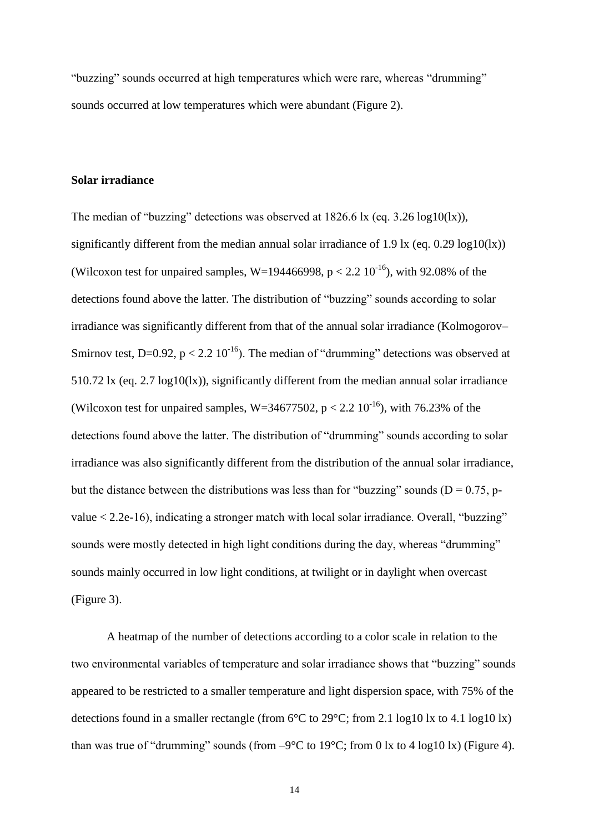"buzzing" sounds occurred at high temperatures which were rare, whereas "drumming" sounds occurred at low temperatures which were abundant (Figure 2).

# **Solar irradiance**

The median of "buzzing" detections was observed at 1826.6 lx (eq. 3.26 log10(lx)), significantly different from the median annual solar irradiance of 1.9 lx (eq.  $0.29 \log 10 \times$ ) (Wilcoxon test for unpaired samples, W=194466998,  $p < 2.2$  10<sup>-16</sup>), with 92.08% of the detections found above the latter. The distribution of "buzzing" sounds according to solar irradiance was significantly different from that of the annual solar irradiance (Kolmogorov– Smirnov test, D=0.92,  $p < 2.2 \times 10^{-16}$ ). The median of "drumming" detections was observed at 510.72 lx (eq. 2.7 log10(lx)), significantly different from the median annual solar irradiance (Wilcoxon test for unpaired samples, W=34677502,  $p < 2.2$  10<sup>-16</sup>), with 76.23% of the detections found above the latter. The distribution of "drumming" sounds according to solar irradiance was also significantly different from the distribution of the annual solar irradiance, but the distance between the distributions was less than for "buzzing" sounds ( $D = 0.75$ , pvalue < 2.2e-16), indicating a stronger match with local solar irradiance. Overall, "buzzing" sounds were mostly detected in high light conditions during the day, whereas "drumming" sounds mainly occurred in low light conditions, at twilight or in daylight when overcast (Figure 3).

A heatmap of the number of detections according to a color scale in relation to the two environmental variables of temperature and solar irradiance shows that "buzzing" sounds appeared to be restricted to a smaller temperature and light dispersion space, with 75% of the detections found in a smaller rectangle (from  $6^{\circ}$ C to  $29^{\circ}$ C; from 2.1 log10 lx to 4.1 log10 lx) than was true of "drumming" sounds (from  $-9^{\circ}C$  to 19 $^{\circ}C$ ; from 0 lx to 4 log10 lx) (Figure 4).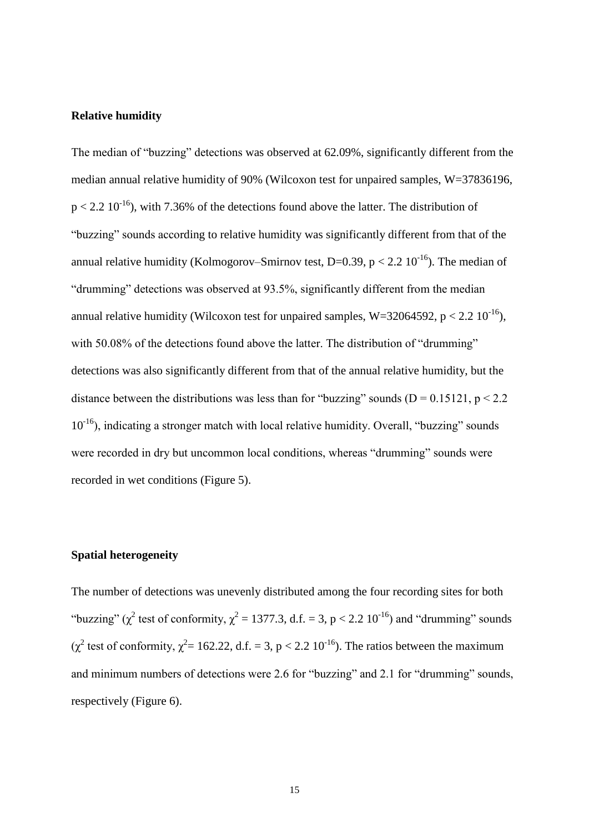## **Relative humidity**

The median of "buzzing" detections was observed at 62.09%, significantly different from the median annual relative humidity of 90% (Wilcoxon test for unpaired samples, W=37836196,  $p < 2.2 \times 10^{-16}$ ), with 7.36% of the detections found above the latter. The distribution of "buzzing" sounds according to relative humidity was significantly different from that of the annual relative humidity (Kolmogorov–Smirnov test, D=0.39, p < 2.2  $10^{-16}$ ). The median of "drumming" detections was observed at 93.5%, significantly different from the median annual relative humidity (Wilcoxon test for unpaired samples, W=32064592, p < 2.2  $10^{-16}$ ), with 50.08% of the detections found above the latter. The distribution of "drumming" detections was also significantly different from that of the annual relative humidity, but the distance between the distributions was less than for "buzzing" sounds ( $D = 0.15121$ ,  $p < 2.2$ )  $10^{-16}$ ), indicating a stronger match with local relative humidity. Overall, "buzzing" sounds were recorded in dry but uncommon local conditions, whereas "drumming" sounds were recorded in wet conditions (Figure 5).

## **Spatial heterogeneity**

The number of detections was unevenly distributed among the four recording sites for both "buzzing" ( $\chi^2$  test of conformity,  $\chi^2 = 1377.3$ , d.f. = 3, p < 2.2 10<sup>-16</sup>) and "drumming" sounds ( $\chi^2$  test of conformity,  $\chi^2$  = 162.22, d.f. = 3, p < 2.2 10<sup>-16</sup>). The ratios between the maximum and minimum numbers of detections were 2.6 for "buzzing" and 2.1 for "drumming" sounds, respectively (Figure 6).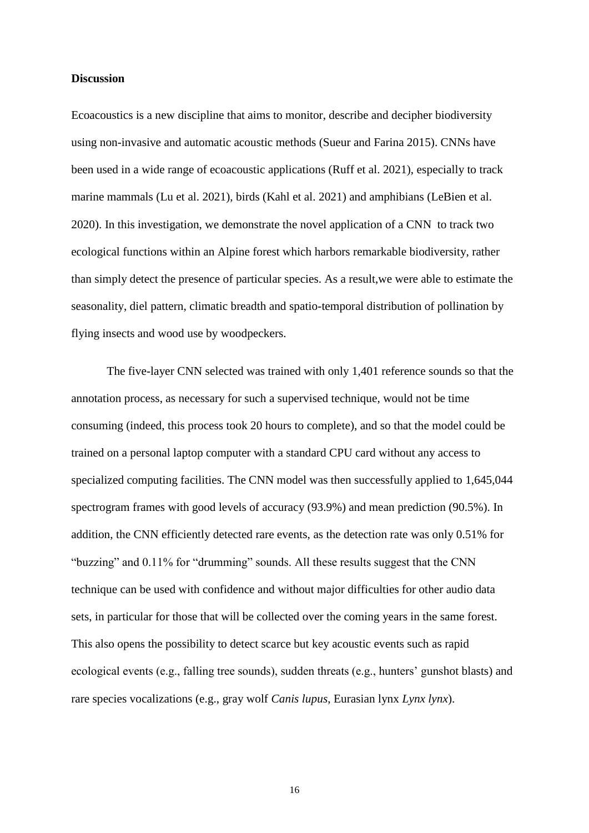#### **Discussion**

Ecoacoustics is a new discipline that aims to monitor, describe and decipher biodiversity using non-invasive and automatic acoustic methods (Sueur and Farina 2015). CNNs have been used in a wide range of ecoacoustic applications (Ruff et al. 2021), especially to track marine mammals (Lu et al. 2021), birds (Kahl et al. 2021) and amphibians (LeBien et al. 2020). In this investigation, we demonstrate the novel application of a CNN to track two ecological functions within an Alpine forest which harbors remarkable biodiversity, rather than simply detect the presence of particular species. As a result,we were able to estimate the seasonality, diel pattern, climatic breadth and spatio-temporal distribution of pollination by flying insects and wood use by woodpeckers.

The five-layer CNN selected was trained with only 1,401 reference sounds so that the annotation process, as necessary for such a supervised technique, would not be time consuming (indeed, this process took 20 hours to complete), and so that the model could be trained on a personal laptop computer with a standard CPU card without any access to specialized computing facilities. The CNN model was then successfully applied to 1,645,044 spectrogram frames with good levels of accuracy (93.9%) and mean prediction (90.5%). In addition, the CNN efficiently detected rare events, as the detection rate was only 0.51% for "buzzing" and 0.11% for "drumming" sounds. All these results suggest that the CNN technique can be used with confidence and without major difficulties for other audio data sets, in particular for those that will be collected over the coming years in the same forest. This also opens the possibility to detect scarce but key acoustic events such as rapid ecological events (e.g., falling tree sounds), sudden threats (e.g., hunters' gunshot blasts) and rare species vocalizations (e.g., gray wolf *Canis lupus*, Eurasian lynx *Lynx lynx*).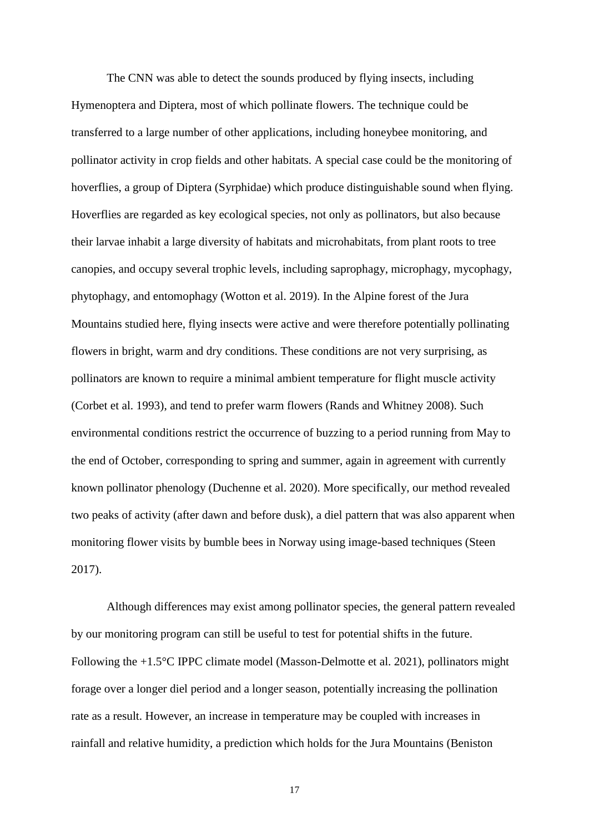The CNN was able to detect the sounds produced by flying insects, including Hymenoptera and Diptera, most of which pollinate flowers. The technique could be transferred to a large number of other applications, including honeybee monitoring, and pollinator activity in crop fields and other habitats. A special case could be the monitoring of hoverflies, a group of Diptera (Syrphidae) which produce distinguishable sound when flying. Hoverflies are regarded as key ecological species, not only as pollinators, but also because their larvae inhabit a large diversity of habitats and microhabitats, from plant roots to tree canopies, and occupy several trophic levels, including saprophagy, microphagy, mycophagy, phytophagy, and entomophagy (Wotton et al. 2019). In the Alpine forest of the Jura Mountains studied here, flying insects were active and were therefore potentially pollinating flowers in bright, warm and dry conditions. These conditions are not very surprising, as pollinators are known to require a minimal ambient temperature for flight muscle activity (Corbet et al. 1993), and tend to prefer warm flowers (Rands and Whitney 2008). Such environmental conditions restrict the occurrence of buzzing to a period running from May to the end of October, corresponding to spring and summer, again in agreement with currently known pollinator phenology (Duchenne et al. 2020). More specifically, our method revealed two peaks of activity (after dawn and before dusk), a diel pattern that was also apparent when monitoring flower visits by bumble bees in Norway using image-based techniques (Steen 2017).

Although differences may exist among pollinator species, the general pattern revealed by our monitoring program can still be useful to test for potential shifts in the future. Following the +1.5°C IPPC climate model (Masson-Delmotte et al. 2021), pollinators might forage over a longer diel period and a longer season, potentially increasing the pollination rate as a result. However, an increase in temperature may be coupled with increases in rainfall and relative humidity, a prediction which holds for the Jura Mountains (Beniston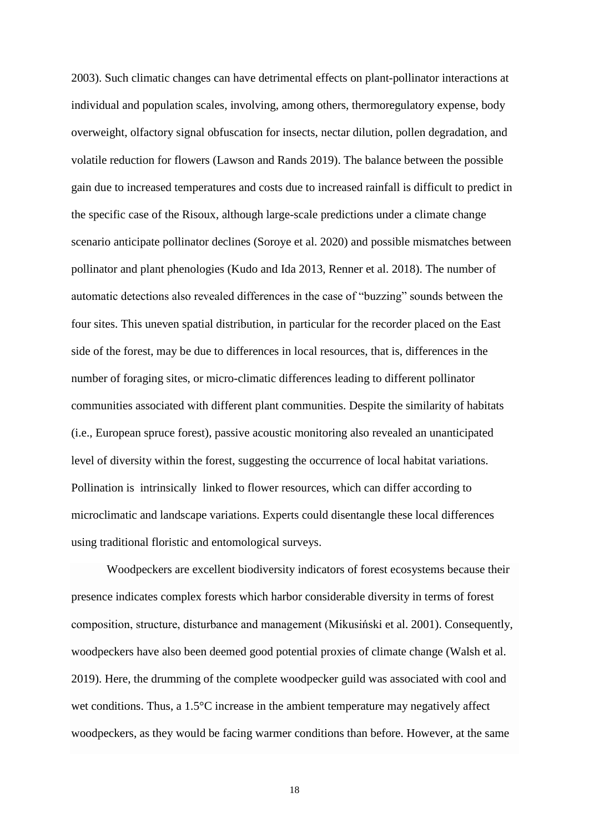2003). Such climatic changes can have detrimental effects on plant-pollinator interactions at individual and population scales, involving, among others, thermoregulatory expense, body overweight, olfactory signal obfuscation for insects, nectar dilution, pollen degradation, and volatile reduction for flowers (Lawson and Rands 2019). The balance between the possible gain due to increased temperatures and costs due to increased rainfall is difficult to predict in the specific case of the Risoux, although large-scale predictions under a climate change scenario anticipate pollinator declines (Soroye et al. 2020) and possible mismatches between pollinator and plant phenologies (Kudo and Ida 2013, Renner et al. 2018). The number of automatic detections also revealed differences in the case of "buzzing" sounds between the four sites. This uneven spatial distribution, in particular for the recorder placed on the East side of the forest, may be due to differences in local resources, that is, differences in the number of foraging sites, or micro-climatic differences leading to different pollinator communities associated with different plant communities. Despite the similarity of habitats (i.e., European spruce forest), passive acoustic monitoring also revealed an unanticipated level of diversity within the forest, suggesting the occurrence of local habitat variations. Pollination is intrinsically linked to flower resources, which can differ according to microclimatic and landscape variations. Experts could disentangle these local differences using traditional floristic and entomological surveys.

Woodpeckers are excellent biodiversity indicators of forest ecosystems because their presence indicates complex forests which harbor considerable diversity in terms of forest composition, structure, disturbance and management (Mikusiński et al. 2001). Consequently, woodpeckers have also been deemed good potential proxies of climate change (Walsh et al. 2019). Here, the drumming of the complete woodpecker guild was associated with cool and wet conditions. Thus, a 1.5°C increase in the ambient temperature may negatively affect woodpeckers, as they would be facing warmer conditions than before. However, at the same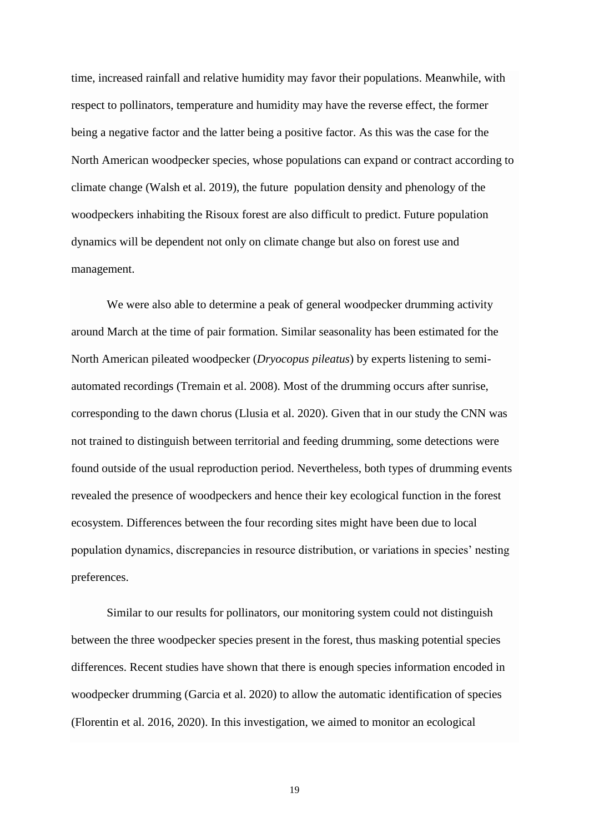time, increased rainfall and relative humidity may favor their populations. Meanwhile, with respect to pollinators, temperature and humidity may have the reverse effect, the former being a negative factor and the latter being a positive factor. As this was the case for the North American woodpecker species, whose populations can expand or contract according to climate change (Walsh et al. 2019), the future population density and phenology of the woodpeckers inhabiting the Risoux forest are also difficult to predict. Future population dynamics will be dependent not only on climate change but also on forest use and management.

We were also able to determine a peak of general woodpecker drumming activity around March at the time of pair formation. Similar seasonality has been estimated for the North American pileated woodpecker (*Dryocopus pileatus*) by experts listening to semiautomated recordings (Tremain et al. 2008). Most of the drumming occurs after sunrise, corresponding to the dawn chorus (Llusia et al. 2020). Given that in our study the CNN was not trained to distinguish between territorial and feeding drumming, some detections were found outside of the usual reproduction period. Nevertheless, both types of drumming events revealed the presence of woodpeckers and hence their key ecological function in the forest ecosystem. Differences between the four recording sites might have been due to local population dynamics, discrepancies in resource distribution, or variations in species' nesting preferences.

Similar to our results for pollinators, our monitoring system could not distinguish between the three woodpecker species present in the forest, thus masking potential species differences. Recent studies have shown that there is enough species information encoded in woodpecker drumming (Garcia et al. 2020) to allow the automatic identification of species (Florentin et al. 2016, 2020). In this investigation, we aimed to monitor an ecological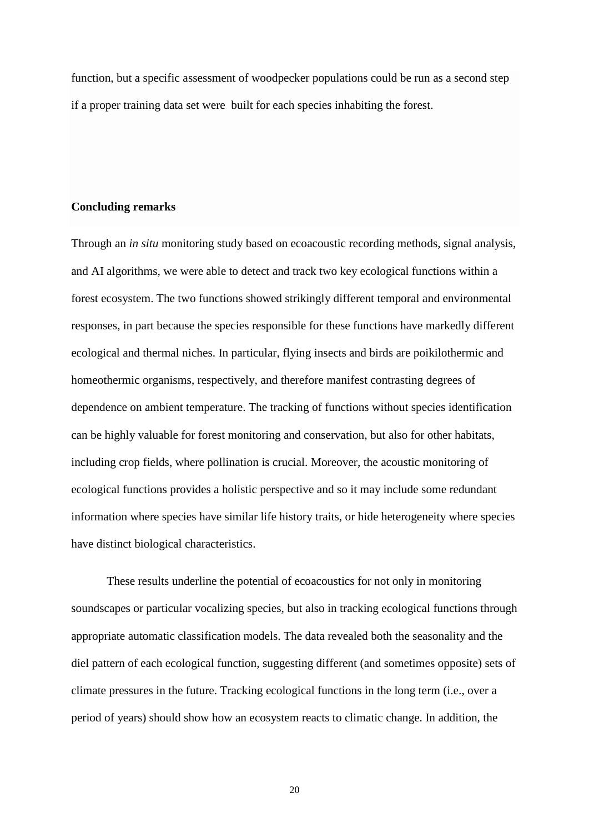function, but a specific assessment of woodpecker populations could be run as a second step if a proper training data set were built for each species inhabiting the forest.

# **Concluding remarks**

Through an *in situ* monitoring study based on ecoacoustic recording methods, signal analysis, and AI algorithms, we were able to detect and track two key ecological functions within a forest ecosystem. The two functions showed strikingly different temporal and environmental responses, in part because the species responsible for these functions have markedly different ecological and thermal niches. In particular, flying insects and birds are poikilothermic and homeothermic organisms, respectively, and therefore manifest contrasting degrees of dependence on ambient temperature. The tracking of functions without species identification can be highly valuable for forest monitoring and conservation, but also for other habitats, including crop fields, where pollination is crucial. Moreover, the acoustic monitoring of ecological functions provides a holistic perspective and so it may include some redundant information where species have similar life history traits, or hide heterogeneity where species have distinct biological characteristics.

These results underline the potential of ecoacoustics for not only in monitoring soundscapes or particular vocalizing species, but also in tracking ecological functions through appropriate automatic classification models. The data revealed both the seasonality and the diel pattern of each ecological function, suggesting different (and sometimes opposite) sets of climate pressures in the future. Tracking ecological functions in the long term (i.e., over a period of years) should show how an ecosystem reacts to climatic change. In addition, the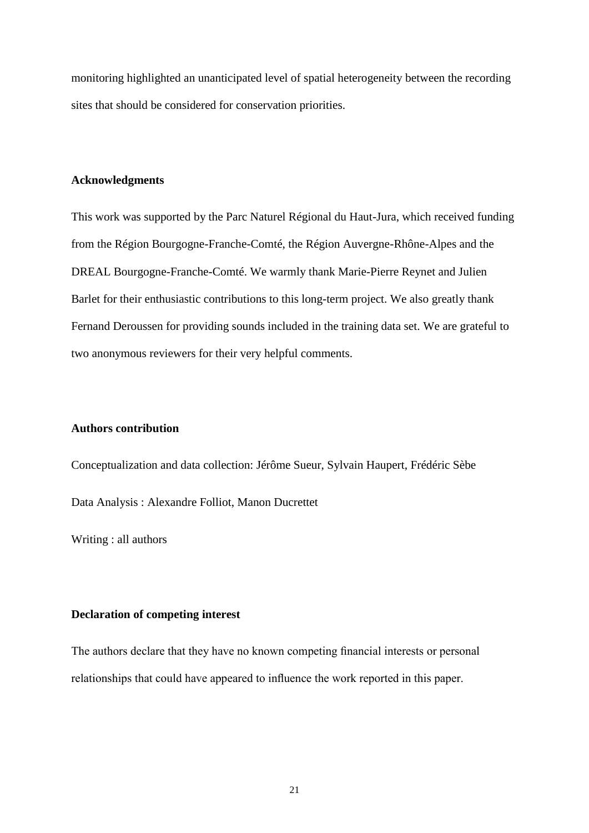monitoring highlighted an unanticipated level of spatial heterogeneity between the recording sites that should be considered for conservation priorities.

# **Acknowledgments**

This work was supported by the Parc Naturel Régional du Haut-Jura, which received funding from the Région Bourgogne-Franche-Comté, the Région Auvergne-Rhône-Alpes and the DREAL Bourgogne-Franche-Comté. We warmly thank Marie-Pierre Reynet and Julien Barlet for their enthusiastic contributions to this long-term project. We also greatly thank Fernand Deroussen for providing sounds included in the training data set. We are grateful to two anonymous reviewers for their very helpful comments.

## **Authors contribution**

Conceptualization and data collection: Jérôme Sueur, Sylvain Haupert, Frédéric Sèbe Data Analysis : Alexandre Folliot, Manon Ducrettet

Writing : all authors

# **Declaration of competing interest**

The authors declare that they have no known competing financial interests or personal relationships that could have appeared to influence the work reported in this paper.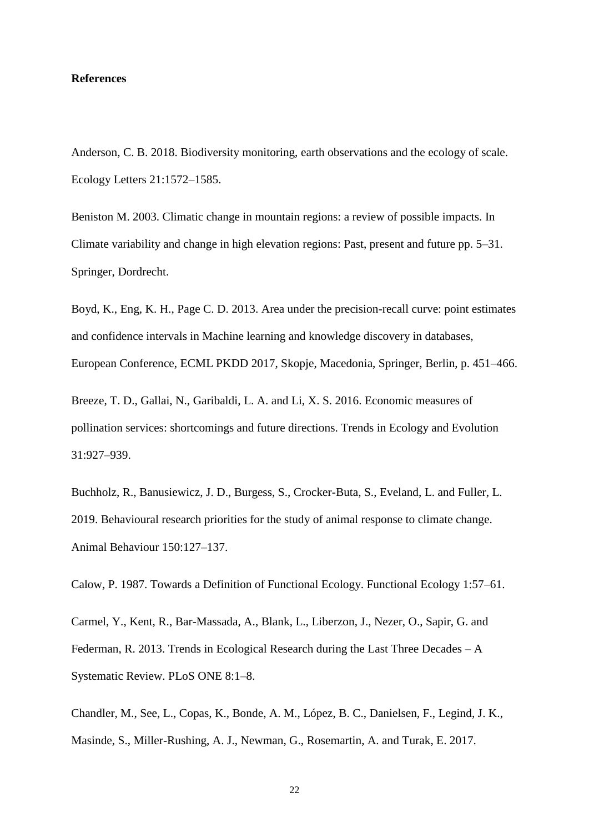#### **References**

Anderson, C. B. 2018. Biodiversity monitoring, earth observations and the ecology of scale. Ecology Letters 21:1572–1585.

Beniston M. 2003. Climatic change in mountain regions: a review of possible impacts. In Climate variability and change in high elevation regions: Past, present and future pp. 5–31. Springer, Dordrecht.

Boyd, K., Eng, K. H., Page C. D. 2013. Area under the precision-recall curve: point estimates and confidence intervals in Machine learning and knowledge discovery in databases, European Conference, ECML PKDD 2017, Skopje, Macedonia, Springer, Berlin, p. 451–466.

Breeze, T. D., Gallai, N., Garibaldi, L. A. and Li, X. S. 2016. Economic measures of pollination services: shortcomings and future directions. Trends in Ecology and Evolution 31:927–939.

Buchholz, R., Banusiewicz, J. D., Burgess, S., Crocker-Buta, S., Eveland, L. and Fuller, L. 2019. Behavioural research priorities for the study of animal response to climate change. Animal Behaviour 150:127–137.

Calow, P. 1987. Towards a Definition of Functional Ecology. Functional Ecology 1:57–61.

Carmel, Y., Kent, R., Bar-Massada, A., Blank, L., Liberzon, J., Nezer, O., Sapir, G. and Federman, R. 2013. Trends in Ecological Research during the Last Three Decades – A Systematic Review. PLoS ONE 8:1–8.

Chandler, M., See, L., Copas, K., Bonde, A. M., López, B. C., Danielsen, F., Legind, J. K., Masinde, S., Miller-Rushing, A. J., Newman, G., Rosemartin, A. and Turak, E. 2017.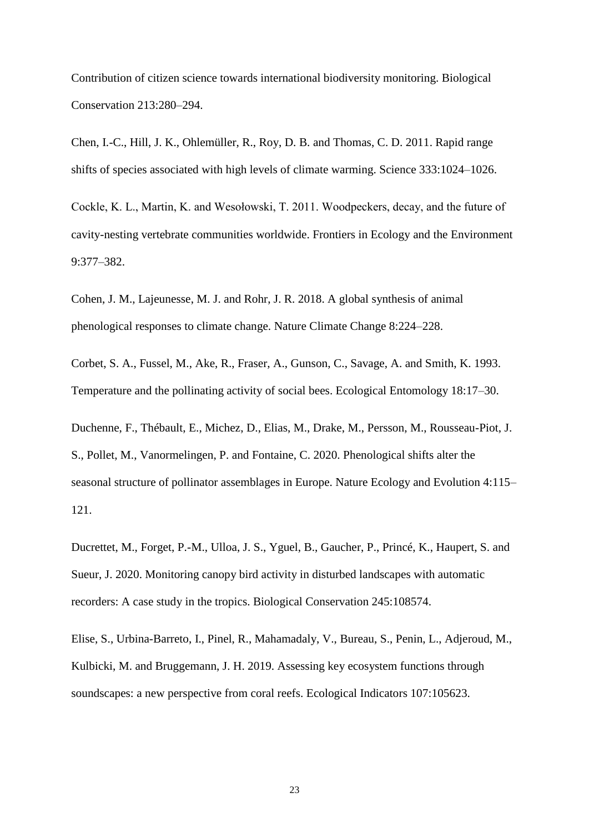Contribution of citizen science towards international biodiversity monitoring. Biological Conservation 213:280–294.

Chen, I.-C., Hill, J. K., Ohlemüller, R., Roy, D. B. and Thomas, C. D. 2011. Rapid range shifts of species associated with high levels of climate warming. Science 333:1024–1026.

Cockle, K. L., Martin, K. and Wesołowski, T. 2011. Woodpeckers, decay, and the future of cavity-nesting vertebrate communities worldwide. Frontiers in Ecology and the Environment 9:377–382.

Cohen, J. M., Lajeunesse, M. J. and Rohr, J. R. 2018. A global synthesis of animal phenological responses to climate change. Nature Climate Change 8:224–228.

Corbet, S. A., Fussel, M., Ake, R., Fraser, A., Gunson, C., Savage, A. and Smith, K. 1993. Temperature and the pollinating activity of social bees. Ecological Entomology 18:17–30.

Duchenne, F., Thébault, E., Michez, D., Elias, M., Drake, M., Persson, M., Rousseau-Piot, J. S., Pollet, M., Vanormelingen, P. and Fontaine, C. 2020. Phenological shifts alter the seasonal structure of pollinator assemblages in Europe. Nature Ecology and Evolution 4:115– 121.

Ducrettet, M., Forget, P.-M., Ulloa, J. S., Yguel, B., Gaucher, P., Princé, K., Haupert, S. and Sueur, J. 2020. Monitoring canopy bird activity in disturbed landscapes with automatic recorders: A case study in the tropics. Biological Conservation 245:108574.

Elise, S., Urbina-Barreto, I., Pinel, R., Mahamadaly, V., Bureau, S., Penin, L., Adjeroud, M., Kulbicki, M. and Bruggemann, J. H. 2019. Assessing key ecosystem functions through soundscapes: a new perspective from coral reefs. Ecological Indicators 107:105623.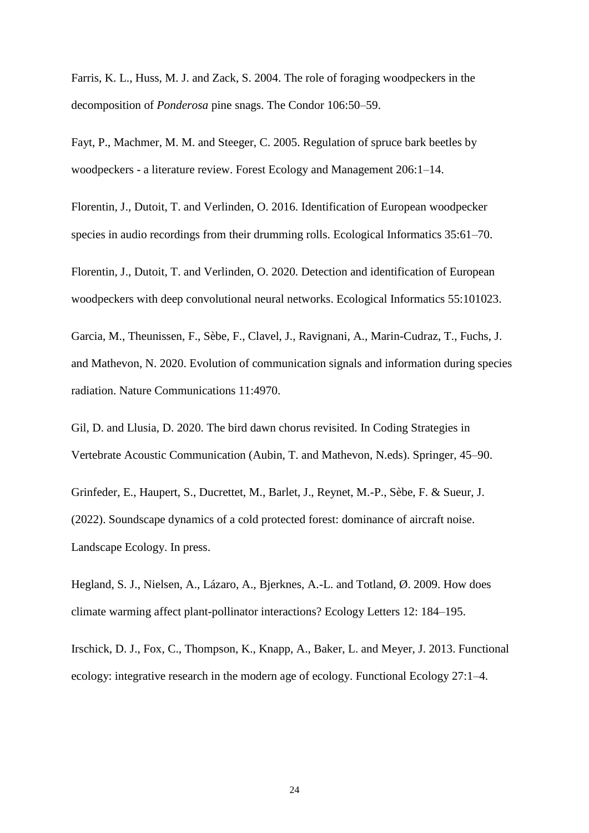Farris, K. L., Huss, M. J. and Zack, S. 2004. The role of foraging woodpeckers in the decomposition of *Ponderosa* pine snags. The Condor 106:50–59.

Fayt, P., Machmer, M. M. and Steeger, C. 2005. Regulation of spruce bark beetles by woodpeckers - a literature review. Forest Ecology and Management 206:1–14.

Florentin, J., Dutoit, T. and Verlinden, O. 2016. Identification of European woodpecker species in audio recordings from their drumming rolls. Ecological Informatics 35:61–70.

Florentin, J., Dutoit, T. and Verlinden, O. 2020. Detection and identification of European woodpeckers with deep convolutional neural networks. Ecological Informatics 55:101023.

Garcia, M., Theunissen, F., Sèbe, F., Clavel, J., Ravignani, A., Marin-Cudraz, T., Fuchs, J. and Mathevon, N. 2020. Evolution of communication signals and information during species radiation. Nature Communications 11:4970.

Gil, D. and Llusia, D. 2020. The bird dawn chorus revisited. In Coding Strategies in Vertebrate Acoustic Communication (Aubin, T. and Mathevon, N.eds). Springer, 45–90.

Grinfeder, E., Haupert, S., Ducrettet, M., Barlet, J., Reynet, M.-P., Sèbe, F. & Sueur, J. (2022). Soundscape dynamics of a cold protected forest: dominance of aircraft noise. Landscape Ecology. In press.

Hegland, S. J., Nielsen, A., Lázaro, A., Bjerknes, A.-L. and Totland, Ø. 2009. How does climate warming affect plant-pollinator interactions? Ecology Letters 12: 184–195.

Irschick, D. J., Fox, C., Thompson, K., Knapp, A., Baker, L. and Meyer, J. 2013. Functional ecology: integrative research in the modern age of ecology. Functional Ecology 27:1–4.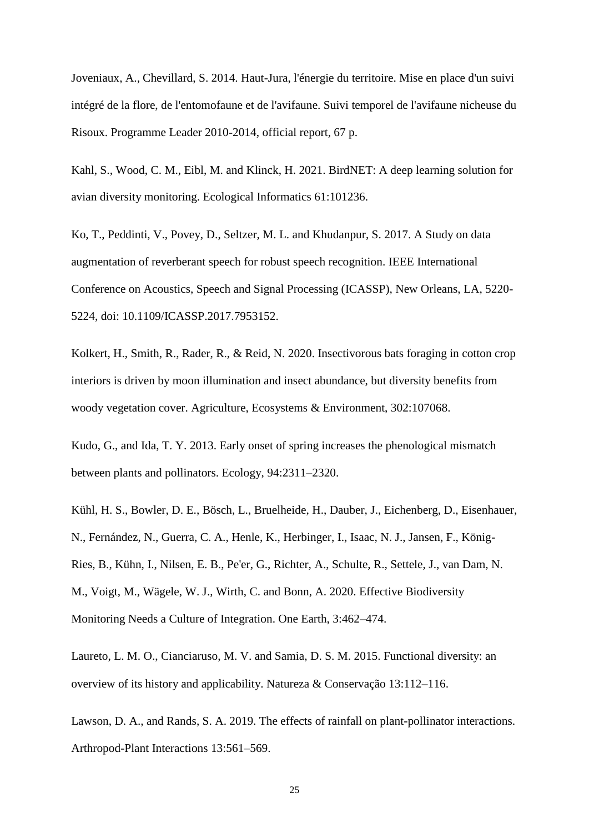Joveniaux, A., Chevillard, S. 2014. Haut-Jura, l'énergie du territoire. Mise en place d'un suivi intégré de la flore, de l'entomofaune et de l'avifaune. Suivi temporel de l'avifaune nicheuse du Risoux. Programme Leader 2010-2014, official report, 67 p.

Kahl, S., Wood, C. M., Eibl, M. and Klinck, H. 2021. BirdNET: A deep learning solution for avian diversity monitoring. Ecological Informatics 61:101236.

Ko, T., Peddinti, V., Povey, D., Seltzer, M. L. and Khudanpur, S. 2017. A Study on data augmentation of reverberant speech for robust speech recognition. IEEE International Conference on Acoustics, Speech and Signal Processing (ICASSP), New Orleans, LA, 5220- 5224, doi: 10.1109/ICASSP.2017.7953152.

Kolkert, H., Smith, R., Rader, R., & Reid, N. 2020. Insectivorous bats foraging in cotton crop interiors is driven by moon illumination and insect abundance, but diversity benefits from woody vegetation cover. Agriculture, Ecosystems & Environment, 302:107068.

Kudo, G., and Ida, T. Y. 2013. Early onset of spring increases the phenological mismatch between plants and pollinators. Ecology, 94:2311–2320.

Kühl, H. S., Bowler, D. E., Bösch, L., Bruelheide, H., Dauber, J., Eichenberg, D., Eisenhauer, N., Fernández, N., Guerra, C. A., Henle, K., Herbinger, I., Isaac, N. J., Jansen, F., König-Ries, B., Kühn, I., Nilsen, E. B., Pe'er, G., Richter, A., Schulte, R., Settele, J., van Dam, N. M., Voigt, M., Wägele, W. J., Wirth, C. and Bonn, A. 2020. Effective Biodiversity Monitoring Needs a Culture of Integration. One Earth, 3:462–474.

Laureto, L. M. O., Cianciaruso, M. V. and Samia, D. S. M. 2015. Functional diversity: an overview of its history and applicability. Natureza & Conservação 13:112–116.

Lawson, D. A., and Rands, S. A. 2019. The effects of rainfall on plant-pollinator interactions. Arthropod-Plant Interactions 13:561–569.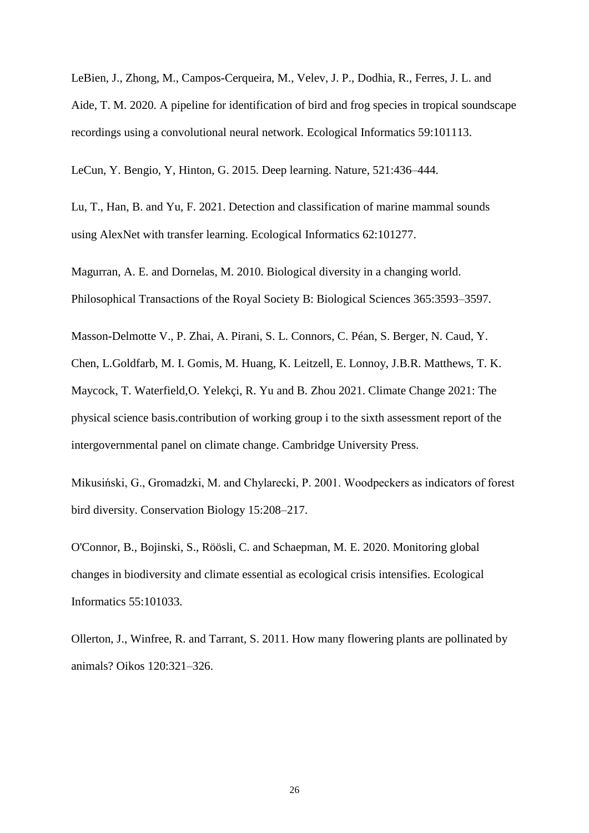LeBien, J., Zhong, M., Campos-Cerqueira, M., Velev, J. P., Dodhia, R., Ferres, J. L. and Aide, T. M. 2020. A pipeline for identification of bird and frog species in tropical soundscape recordings using a convolutional neural network. Ecological Informatics 59:101113.

LeCun, Y. Bengio, Y, Hinton, G. 2015. Deep learning. Nature, 521:436–444.

Lu, T., Han, B. and Yu, F. 2021. Detection and classification of marine mammal sounds using AlexNet with transfer learning. Ecological Informatics 62:101277.

Magurran, A. E. and Dornelas, M. 2010. Biological diversity in a changing world. Philosophical Transactions of the Royal Society B: Biological Sciences 365:3593–3597.

Masson-Delmotte V., P. Zhai, A. Pirani, S. L. Connors, C. Péan, S. Berger, N. Caud, Y. Chen, L.Goldfarb, M. I. Gomis, M. Huang, K. Leitzell, E. Lonnoy, J.B.R. Matthews, T. K. Maycock, T. Waterfield,O. Yelekçi, R. Yu and B. Zhou 2021. Climate Change 2021: The physical science basis.contribution of working group i to the sixth assessment report of the intergovernmental panel on climate change. Cambridge University Press.

Mikusiński, G., Gromadzki, M. and Chylarecki, P. 2001. Woodpeckers as indicators of forest bird diversity. Conservation Biology 15:208–217.

O'Connor, B., Bojinski, S., Röösli, C. and Schaepman, M. E. 2020. Monitoring global changes in biodiversity and climate essential as ecological crisis intensifies. Ecological Informatics 55:101033.

Ollerton, J., Winfree, R. and Tarrant, S. 2011. How many flowering plants are pollinated by animals? Oikos 120:321–326.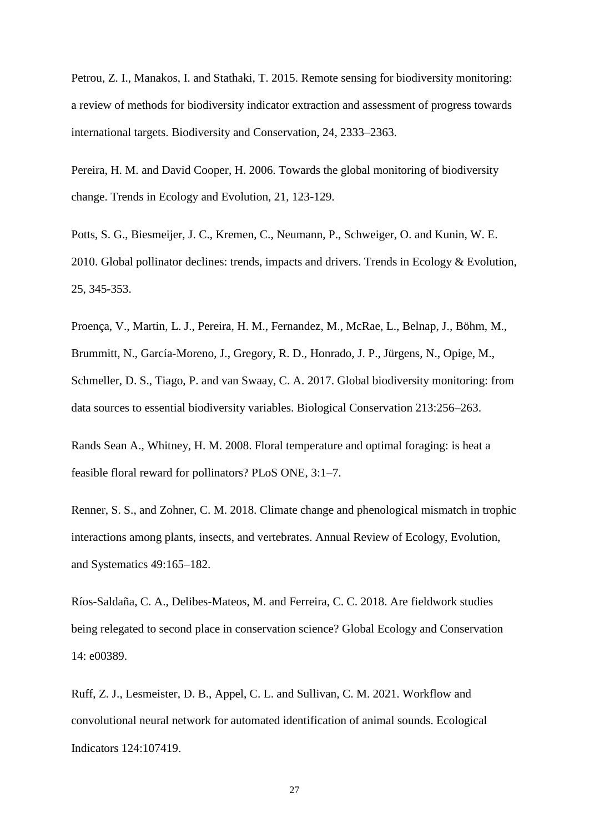Petrou, Z. I., Manakos, I. and Stathaki, T. 2015. Remote sensing for biodiversity monitoring: a review of methods for biodiversity indicator extraction and assessment of progress towards international targets. Biodiversity and Conservation, 24, 2333–2363.

Pereira, H. M. and David Cooper, H. 2006. Towards the global monitoring of biodiversity change. Trends in Ecology and Evolution, 21, 123-129.

Potts, S. G., Biesmeijer, J. C., Kremen, C., Neumann, P., Schweiger, O. and Kunin, W. E. 2010. Global pollinator declines: trends, impacts and drivers. Trends in Ecology & Evolution, 25, 345-353.

Proença, V., Martin, L. J., Pereira, H. M., Fernandez, M., McRae, L., Belnap, J., Böhm, M., Brummitt, N., García-Moreno, J., Gregory, R. D., Honrado, J. P., Jürgens, N., Opige, M., Schmeller, D. S., Tiago, P. and van Swaay, C. A. 2017. Global biodiversity monitoring: from data sources to essential biodiversity variables. Biological Conservation 213:256–263.

Rands Sean A., Whitney, H. M. 2008. Floral temperature and optimal foraging: is heat a feasible floral reward for pollinators? PLoS ONE, 3:1–7.

Renner, S. S., and Zohner, C. M. 2018. Climate change and phenological mismatch in trophic interactions among plants, insects, and vertebrates. Annual Review of Ecology, Evolution, and Systematics 49:165–182.

Ríos-Saldaña, C. A., Delibes-Mateos, M. and Ferreira, C. C. 2018. Are fieldwork studies being relegated to second place in conservation science? Global Ecology and Conservation 14: e00389.

Ruff, Z. J., Lesmeister, D. B., Appel, C. L. and Sullivan, C. M. 2021. Workflow and convolutional neural network for automated identification of animal sounds. Ecological Indicators 124:107419.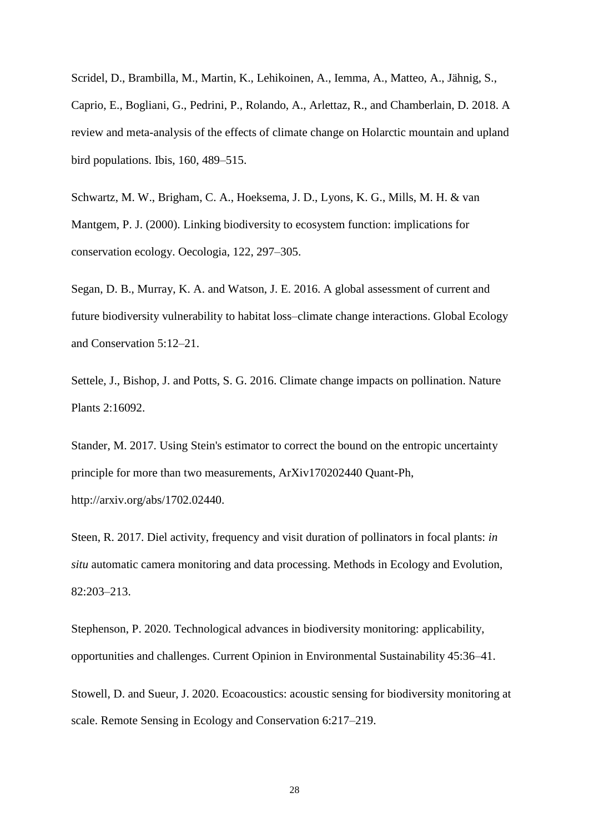Scridel, D., Brambilla, M., Martin, K., Lehikoinen, A., Iemma, A., Matteo, A., Jähnig, S., Caprio, E., Bogliani, G., Pedrini, P., Rolando, A., Arlettaz, R., and Chamberlain, D. 2018. A review and meta-analysis of the effects of climate change on Holarctic mountain and upland bird populations. Ibis, 160, 489–515.

Schwartz, M. W., Brigham, C. A., Hoeksema, J. D., Lyons, K. G., Mills, M. H. & van Mantgem, P. J. (2000). Linking biodiversity to ecosystem function: implications for conservation ecology. Oecologia, 122, 297–305.

Segan, D. B., Murray, K. A. and Watson, J. E. 2016. A global assessment of current and future biodiversity vulnerability to habitat loss–climate change interactions. Global Ecology and Conservation 5:12–21.

Settele, J., Bishop, J. and Potts, S. G. 2016. Climate change impacts on pollination. Nature Plants 2:16092.

Stander, M. 2017. Using Stein's estimator to correct the bound on the entropic uncertainty principle for more than two measurements, ArXiv170202440 Quant-Ph, [http://arxiv.org/abs/1702.02440.](http://arxiv.org/abs/1702.02440)

Steen, R. 2017. Diel activity, frequency and visit duration of pollinators in focal plants: *in situ* automatic camera monitoring and data processing. Methods in Ecology and Evolution, 82:203–213.

Stephenson, P. 2020. Technological advances in biodiversity monitoring: applicability, opportunities and challenges. Current Opinion in Environmental Sustainability 45:36–41.

Stowell, D. and Sueur, J. 2020. Ecoacoustics: acoustic sensing for biodiversity monitoring at scale. Remote Sensing in Ecology and Conservation 6:217–219.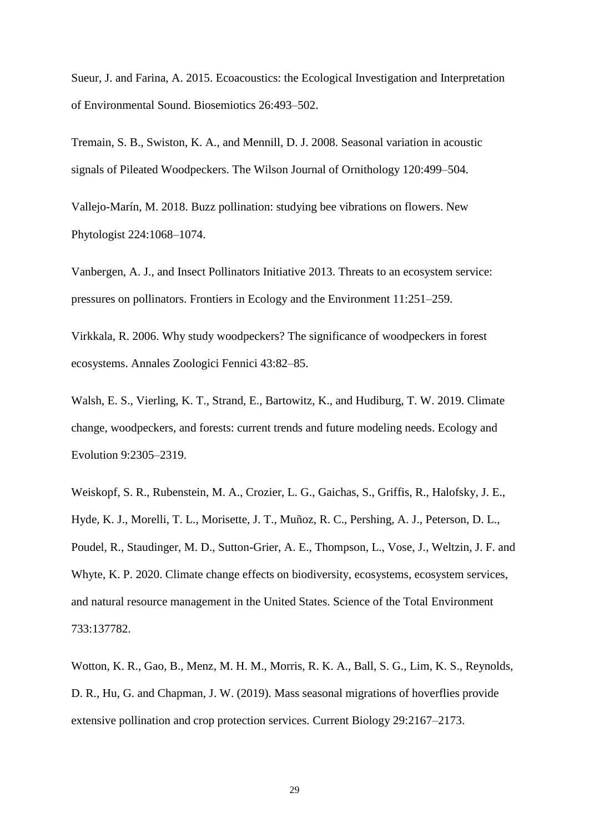Sueur, J. and Farina, A. 2015. Ecoacoustics: the Ecological Investigation and Interpretation of Environmental Sound. Biosemiotics 26:493–502.

Tremain, S. B., Swiston, K. A., and Mennill, D. J. 2008. Seasonal variation in acoustic signals of Pileated Woodpeckers. The Wilson Journal of Ornithology 120:499–504.

Vallejo-Marín, M. 2018. Buzz pollination: studying bee vibrations on flowers. New Phytologist 224:1068–1074.

Vanbergen, A. J., and Insect Pollinators Initiative 2013. Threats to an ecosystem service: pressures on pollinators. Frontiers in Ecology and the Environment 11:251–259.

Virkkala, R. 2006. Why study woodpeckers? The significance of woodpeckers in forest ecosystems. Annales Zoologici Fennici 43:82–85.

Walsh, E. S., Vierling, K. T., Strand, E., Bartowitz, K., and Hudiburg, T. W. 2019. Climate change, woodpeckers, and forests: current trends and future modeling needs. Ecology and Evolution 9:2305–2319.

Weiskopf, S. R., Rubenstein, M. A., Crozier, L. G., Gaichas, S., Griffis, R., Halofsky, J. E., Hyde, K. J., Morelli, T. L., Morisette, J. T., Muñoz, R. C., Pershing, A. J., Peterson, D. L., Poudel, R., Staudinger, M. D., Sutton-Grier, A. E., Thompson, L., Vose, J., Weltzin, J. F. and Whyte, K. P. 2020. Climate change effects on biodiversity, ecosystems, ecosystem services, and natural resource management in the United States. Science of the Total Environment 733:137782.

Wotton, K. R., Gao, B., Menz, M. H. M., Morris, R. K. A., Ball, S. G., Lim, K. S., Reynolds, D. R., Hu, G. and Chapman, J. W. (2019). Mass seasonal migrations of hoverflies provide extensive pollination and crop protection services. Current Biology 29:2167–2173.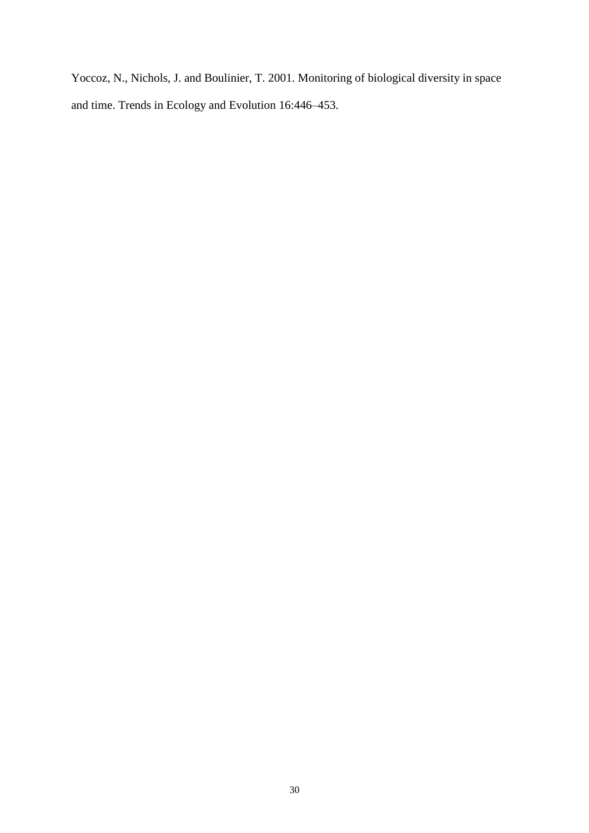Yoccoz, N., Nichols, J. and Boulinier, T. 2001. Monitoring of biological diversity in space and time. Trends in Ecology and Evolution 16:446–453.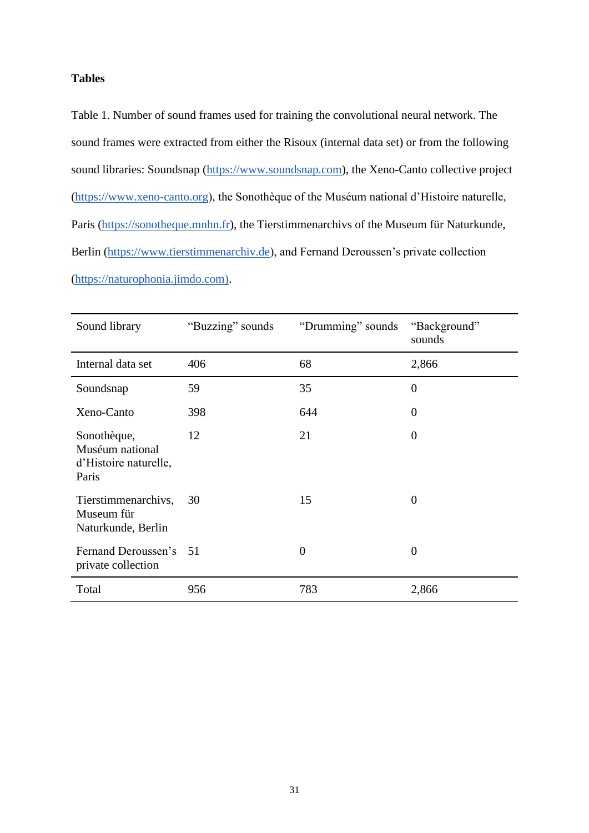# **Tables**

Table 1. Number of sound frames used for training the convolutional neural network. The sound frames were extracted from either the Risoux (internal data set) or from the following sound libraries: Soundsnap [\(https://www.soundsnap.com\)](https://www.soundsnap.com/), the Xeno-Canto collective project [\(https://www.xeno-canto.org\)](https://www.xeno-canto.org/), the Sonothèque of the Muséum national d'Histoire naturelle, Paris [\(https://sonotheque.mnhn.fr\)](https://sonotheque.mnhn.fr/), the Tierstimmenarchivs of the Museum für Naturkunde, Berlin [\(https://www.tierstimmenarchiv.de\)](https://www.tierstimmenarchiv.de/), and Fernand Deroussen's private collection [\(https://naturophonia.jimdo.com\).](https://naturophonia.jimdo.com/)

| Sound library                                                    | "Buzzing" sounds | "Drumming" sounds | "Background"<br>sounds |
|------------------------------------------------------------------|------------------|-------------------|------------------------|
| Internal data set                                                | 406              | 68                | 2,866                  |
| Soundsnap                                                        | 59               | 35                | $\overline{0}$         |
| Xeno-Canto                                                       | 398              | 644               | $\overline{0}$         |
| Sonothèque,<br>Muséum national<br>d'Histoire naturelle,<br>Paris | 12               | 21                | $\overline{0}$         |
| Tierstimmenarchivs,<br>Museum für<br>Naturkunde, Berlin          | 30               | 15                | $\overline{0}$         |
| Fernand Deroussen's 51<br>private collection                     |                  | $\overline{0}$    | $\overline{0}$         |
| Total                                                            | 956              | 783               | 2,866                  |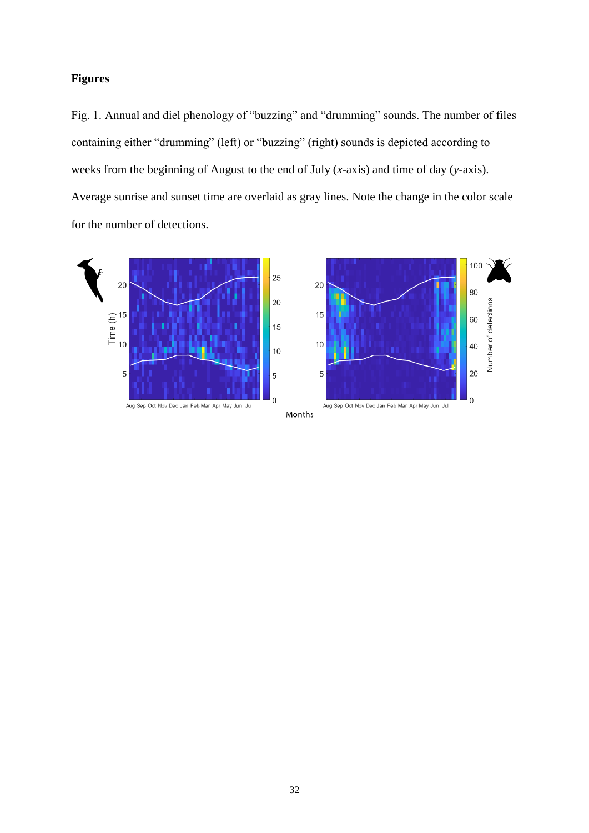# **Figures**

Fig. 1. Annual and diel phenology of "buzzing" and "drumming" sounds. The number of files containing either "drumming" (left) or "buzzing" (right) sounds is depicted according to weeks from the beginning of August to the end of July (*x*-axis) and time of day (*y*-axis). Average sunrise and sunset time are overlaid as gray lines. Note the change in the color scale for the number of detections.

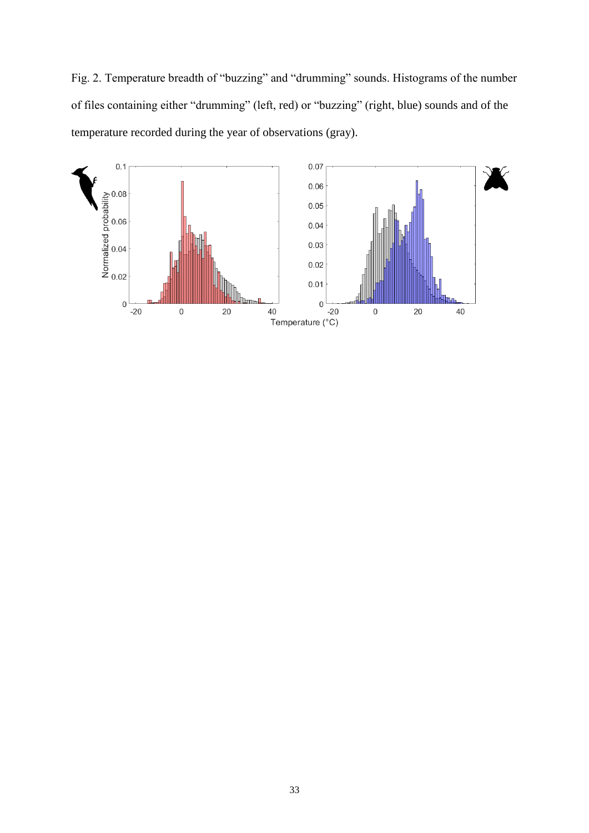Fig. 2. Temperature breadth of "buzzing" and "drumming" sounds. Histograms of the number of files containing either "drumming" (left, red) or "buzzing" (right, blue) sounds and of the temperature recorded during the year of observations (gray).

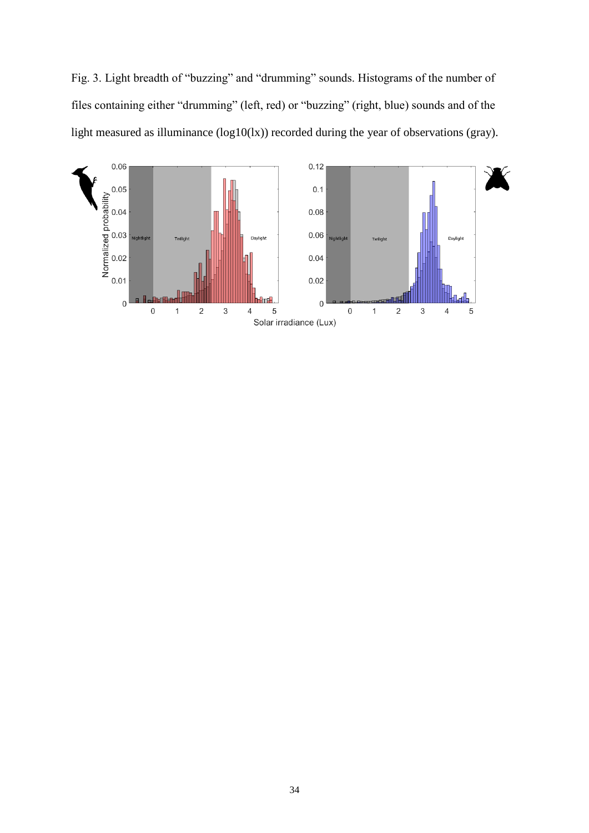Fig. 3. Light breadth of "buzzing" and "drumming" sounds. Histograms of the number of files containing either "drumming" (left, red) or "buzzing" (right, blue) sounds and of the light measured as illuminance (log10(lx)) recorded during the year of observations (gray).

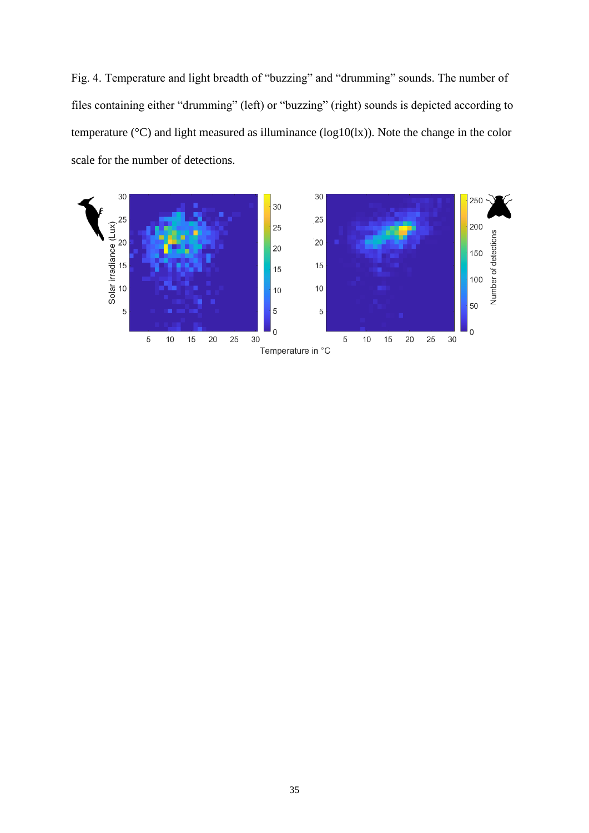Fig. 4. Temperature and light breadth of "buzzing" and "drumming" sounds. The number of files containing either "drumming" (left) or "buzzing" (right) sounds is depicted according to temperature (°C) and light measured as illuminance (log10(lx)). Note the change in the color scale for the number of detections.

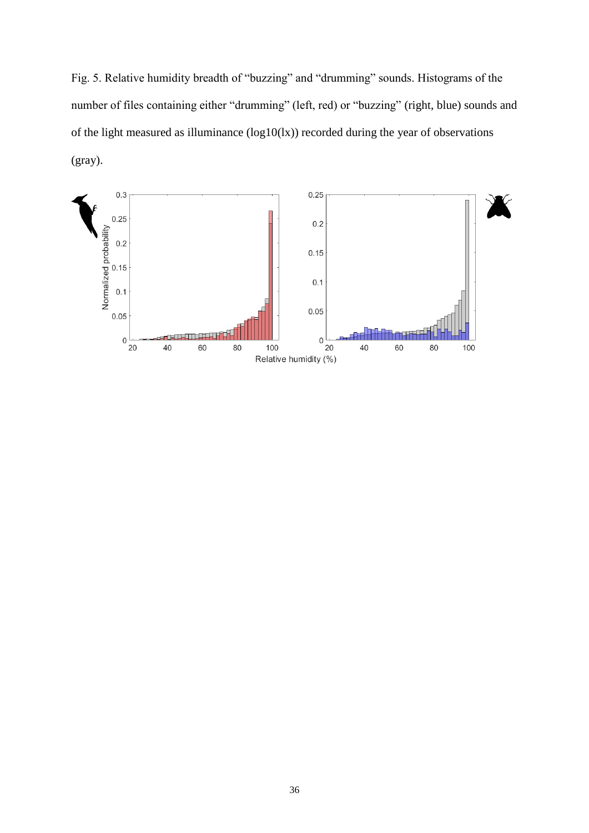Fig. 5. Relative humidity breadth of "buzzing" and "drumming" sounds. Histograms of the number of files containing either "drumming" (left, red) or "buzzing" (right, blue) sounds and of the light measured as illuminance (log10(lx)) recorded during the year of observations (gray).